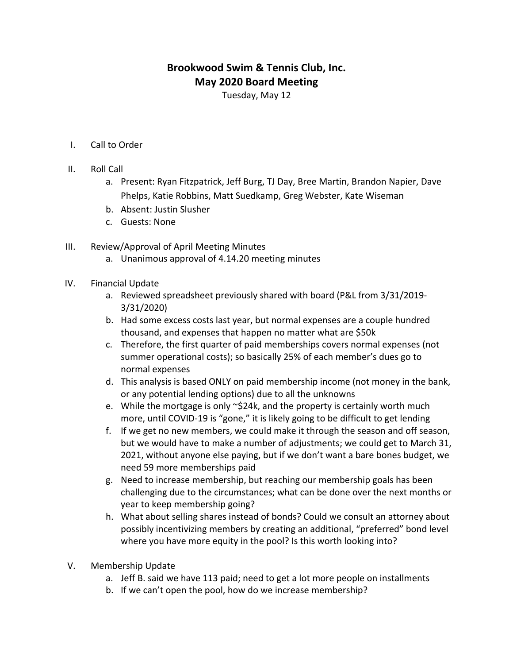## **Brookwood Swim & Tennis Club, Inc. May 2020 Board Meeting**

Tuesday, May 12

- I. Call to Order
- II. Roll Call
	- a. Present: Ryan Fitzpatrick, Jeff Burg, TJ Day, Bree Martin, Brandon Napier, Dave Phelps, Katie Robbins, Matt Suedkamp, Greg Webster, Kate Wiseman
	- b. Absent: Justin Slusher
	- c. Guests: None
- III. Review/Approval of April Meeting Minutes
	- a. Unanimous approval of 4.14.20 meeting minutes
- IV. Financial Update
	- a. Reviewed spreadsheet previously shared with board (P&L from 3/31/2019-3/31/2020)
	- b. Had some excess costs last year, but normal expenses are a couple hundred thousand, and expenses that happen no matter what are \$50k
	- c. Therefore, the first quarter of paid memberships covers normal expenses (not summer operational costs); so basically 25% of each member's dues go to normal expenses
	- d. This analysis is based ONLY on paid membership income (not money in the bank, or any potential lending options) due to all the unknowns
	- e. While the mortgage is only  $\sim$ \$24k, and the property is certainly worth much more, until COVID-19 is "gone," it is likely going to be difficult to get lending
	- f. If we get no new members, we could make it through the season and off season, but we would have to make a number of adjustments; we could get to March 31, 2021, without anyone else paying, but if we don't want a bare bones budget, we need 59 more memberships paid
	- g. Need to increase membership, but reaching our membership goals has been challenging due to the circumstances; what can be done over the next months or year to keep membership going?
	- h. What about selling shares instead of bonds? Could we consult an attorney about possibly incentivizing members by creating an additional, "preferred" bond level where you have more equity in the pool? Is this worth looking into?
- V. Membership Update
	- a. Jeff B. said we have 113 paid; need to get a lot more people on installments
	- b. If we can't open the pool, how do we increase membership?